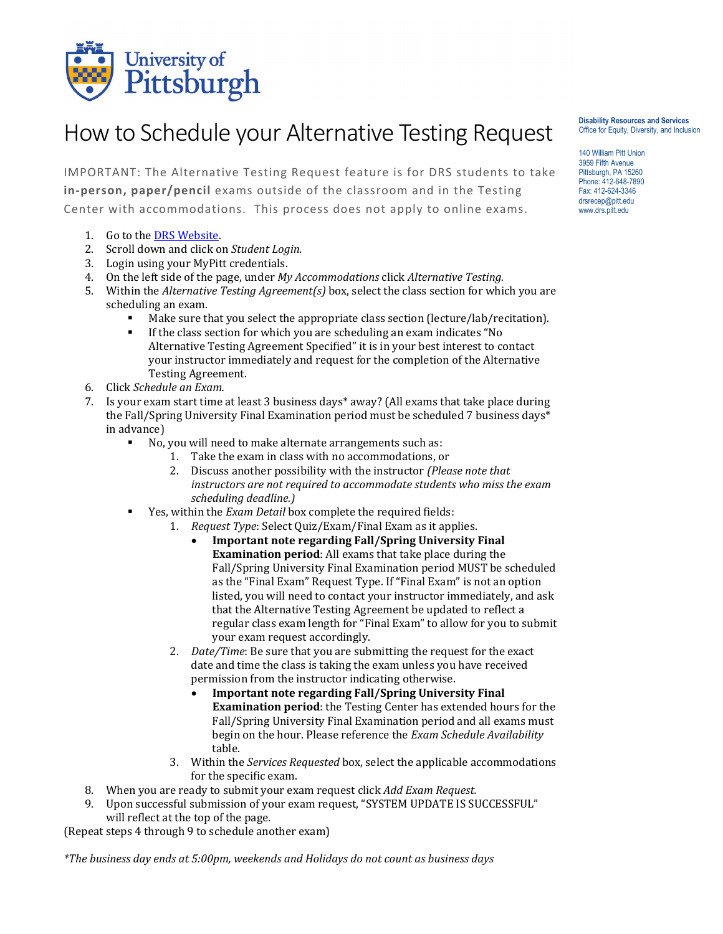

## How to Schedule your Alternative Testing Request

IMPORTANT: The Alternative Testing Request feature is for DRS students to take **in-person, paper/pencil** exams outside of the classroom and in the Testing Center with accommodations. This process does not apply to online exams.

- 1. Go to th[e DRS Website.](http://www.drs.pitt.edu/)
- 2. Scroll down and click on *Student Login.*
- 3. Login using your MyPitt credentials.
- 4. On the left side of the page, under *My Accommodations* click *Alternative Testing.*
- 5. Within the *Alternative Testing Agreement(s)* box, select the class section for which you are scheduling an exam.
	- Make sure that you select the appropriate class section (lecture/lab/recitation).
	- If the class section for which you are scheduling an exam indicates "No Alternative Testing Agreement Specified" it is in your best interest to contact your instructor immediately and request for the completion of the Alternative Testing Agreement.
- 6. Click *Schedule an Exam.*
- 7. Is your exam start time at least 3 business days\* away? (All exams that take place during the Fall/Spring University Final Examination period must be scheduled 7 business days\* in advance)
	- No, you will need to make alternate arrangements such as:
		- 1. Take the exam in class with no accommodations, or
		- 2. Discuss another possibility with the instructor *(Please note that instructors are not required to accommodate students who miss the exam scheduling deadline.)*
	- Yes, within the *Exam Detail* box complete the required fields:
		- 1. *Request Type*: Select Quiz/Exam/Final Exam as it applies.
			- **Important note regarding Fall/Spring University Final Examination period**: All exams that take place during the Fall/Spring University Final Examination period MUST be scheduled as the "Final Exam" Request Type. If "Final Exam" is not an option listed, you will need to contact your instructor immediately, and ask that the Alternative Testing Agreement be updated to reflect a regular class exam length for "Final Exam" to allow for you to submit your exam request accordingly.
		- 2. *Date/Time*: Be sure that you are submitting the request for the exact date and time the class is taking the exam unless you have received permission from the instructor indicating otherwise.
			- **Important note regarding Fall/Spring University Final Examination period**: the Testing Center has extended hours for the Fall/Spring University Final Examination period and all exams must begin on the hour. Please reference the *Exam Schedule Availability*  table.
		- 3. Within the *Services Requested* box, select the applicable accommodations for the specific exam.
- 8. When you are ready to submit your exam request click *Add Exam Request.*
- 9. Upon successful submission of your exam request, "SYSTEM UPDATE IS SUCCESSFUL" will reflect at the top of the page.

(Repeat steps 4 through 9 to schedule another exam)

*\*The business day ends at 5:00pm, weekends and Holidays do not count as business days*

**Disability Resources and Services** Office for Equity, Diversity, and Inclusion

140 William Pitt Union 3959 Fifth Avenue Pittsburgh, PA 15260 Phone: 412-648-7890 Fax: 412-624-3346 drsrecep@pitt.edu www.drs.pitt.edu